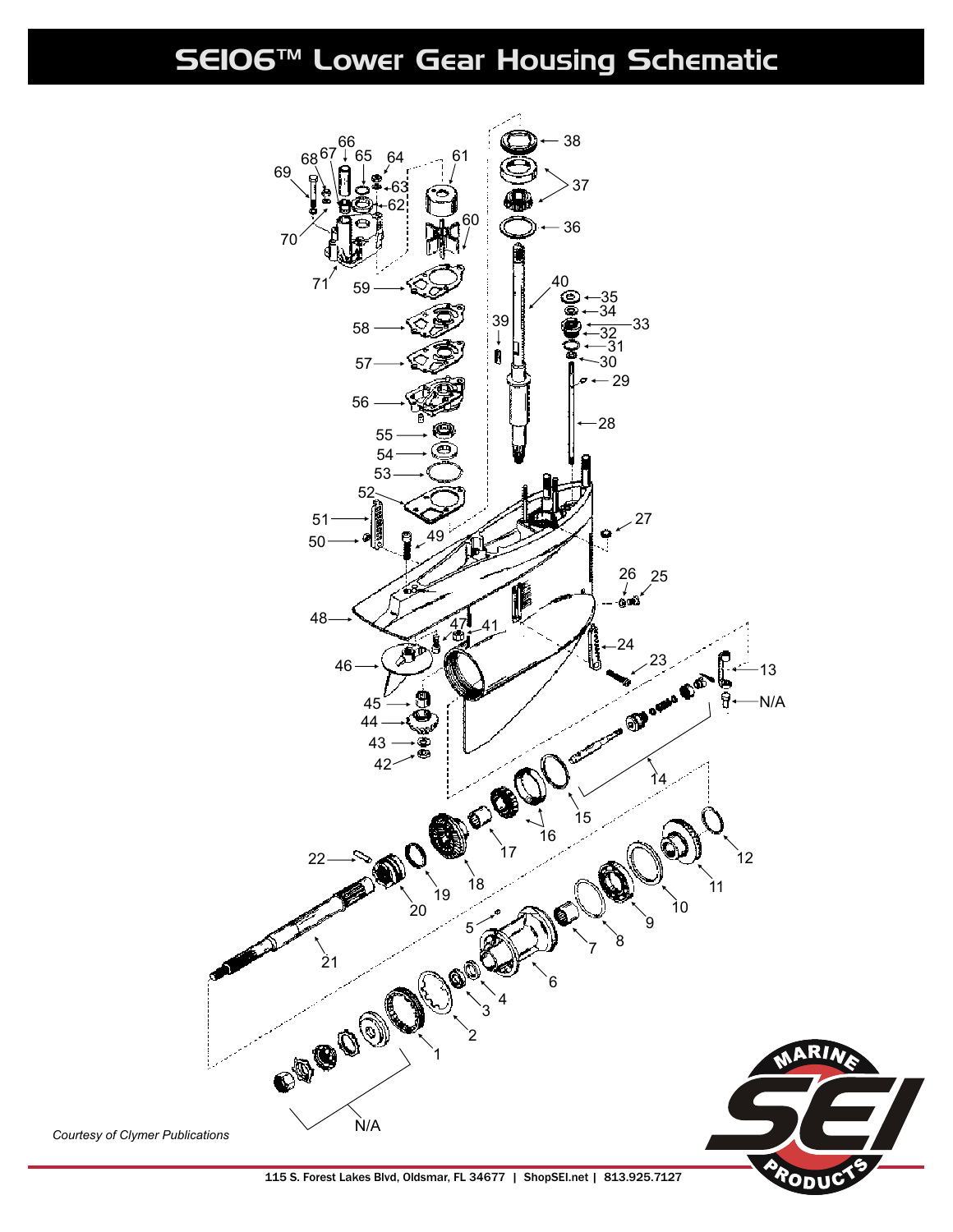SE106™ Lower Gear Housing Schematic



115 S. Forest Lakes Blvd, Oldsmar, FL 34677 | ShopSEI.net | 813.925.7127

ODI